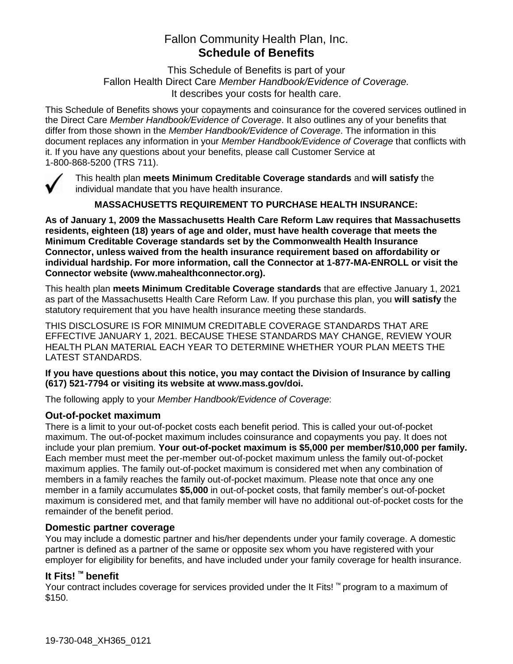# Fallon Community Health Plan, Inc. **Schedule of Benefits**

This Schedule of Benefits is part of your Fallon Health Direct Care *Member Handbook/Evidence of Coverage.*  It describes your costs for health care.

This Schedule of Benefits shows your copayments and coinsurance for the covered services outlined in the Direct Care *Member Handbook/Evidence of Coverage*. It also outlines any of your benefits that differ from those shown in the *Member Handbook/Evidence of Coverage*. The information in this document replaces any information in your *Member Handbook/Evidence of Coverage* that conflicts with it. If you have any questions about your benefits, please call Customer Service at 1-800-868-5200 (TRS 711).



This health plan **meets Minimum Creditable Coverage standards** and **will satisfy** the individual mandate that you have health insurance.

**MASSACHUSETTS REQUIREMENT TO PURCHASE HEALTH INSURANCE:**

**As of January 1, 2009 the Massachusetts Health Care Reform Law requires that Massachusetts residents, eighteen (18) years of age and older, must have health coverage that meets the Minimum Creditable Coverage standards set by the Commonwealth Health Insurance Connector, unless waived from the health insurance requirement based on affordability or individual hardship. For more information, call the Connector at 1-877-MA-ENROLL or visit the Connector website (www.mahealthconnector.org).** 

This health plan **meets Minimum Creditable Coverage standards** that are effective January 1, 2021 as part of the Massachusetts Health Care Reform Law. If you purchase this plan, you **will satisfy** the statutory requirement that you have health insurance meeting these standards.

THIS DISCLOSURE IS FOR MINIMUM CREDITABLE COVERAGE STANDARDS THAT ARE EFFECTIVE JANUARY 1, 2021. BECAUSE THESE STANDARDS MAY CHANGE, REVIEW YOUR HEALTH PLAN MATERIAL EACH YEAR TO DETERMINE WHETHER YOUR PLAN MEETS THE LATEST STANDARDS.

#### **If you have questions about this notice, you may contact the Division of Insurance by calling (617) 521-7794 or visiting its website at www.mass.gov/doi.**

The following apply to your *Member Handbook/Evidence of Coverage*:

#### **Out-of-pocket maximum**

There is a limit to your out-of-pocket costs each benefit period. This is called your out-of-pocket maximum. The out-of-pocket maximum includes coinsurance and copayments you pay. It does not include your plan premium. **Your out-of-pocket maximum is \$5,000 per member/\$10,000 per family.** Each member must meet the per-member out-of-pocket maximum unless the family out-of-pocket maximum applies. The family out-of-pocket maximum is considered met when any combination of members in a family reaches the family out-of-pocket maximum. Please note that once any one member in a family accumulates **\$5,000** in out-of-pocket costs, that family member's out-of-pocket maximum is considered met, and that family member will have no additional out-of-pocket costs for the remainder of the benefit period.

#### **Domestic partner coverage**

You may include a domestic partner and his/her dependents under your family coverage. A domestic partner is defined as a partner of the same or opposite sex whom you have registered with your employer for eligibility for benefits, and have included under your family coverage for health insurance.

# **It Fits! ™ benefit**

Your contract includes coverage for services provided under the It Fits! ™ program to a maximum of \$150.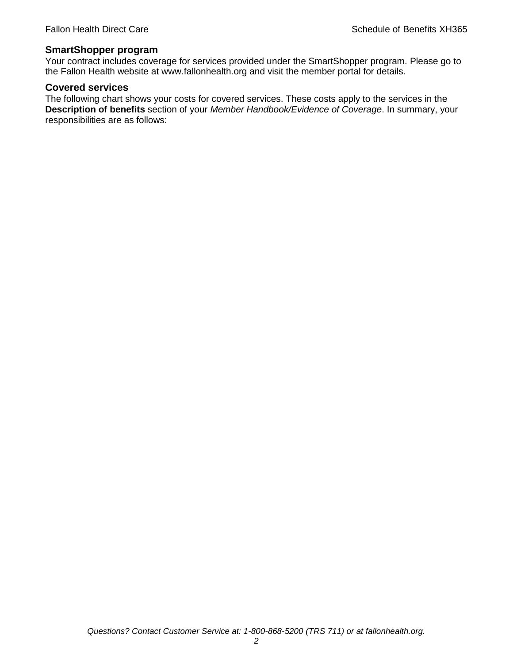#### **SmartShopper program**

Your contract includes coverage for services provided under the SmartShopper program. Please go to the Fallon Health website at www.fallonhealth.org and visit the member portal for details.

#### **Covered services**

The following chart shows your costs for covered services. These costs apply to the services in the **Description of benefits** section of your *Member Handbook/Evidence of Coverage*. In summary, your responsibilities are as follows: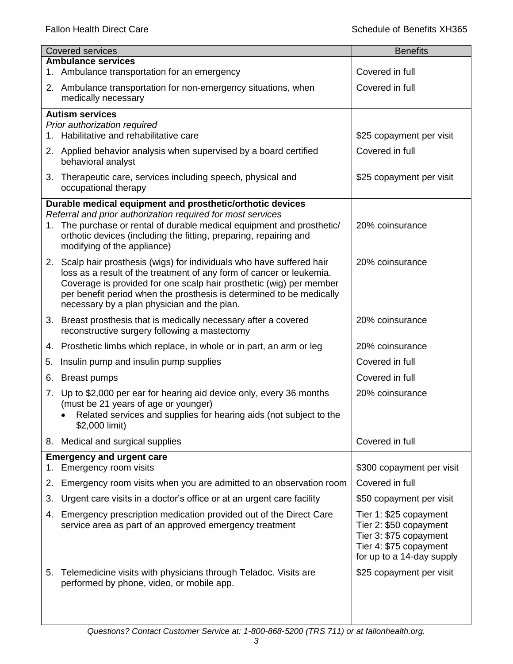| <b>Covered services</b> |                                                                                                                                                                                                                                                                                                                                              | <b>Benefits</b>                                                                                                                   |
|-------------------------|----------------------------------------------------------------------------------------------------------------------------------------------------------------------------------------------------------------------------------------------------------------------------------------------------------------------------------------------|-----------------------------------------------------------------------------------------------------------------------------------|
|                         | <b>Ambulance services</b>                                                                                                                                                                                                                                                                                                                    | Covered in full                                                                                                                   |
|                         | 1. Ambulance transportation for an emergency                                                                                                                                                                                                                                                                                                 |                                                                                                                                   |
|                         | 2. Ambulance transportation for non-emergency situations, when<br>medically necessary                                                                                                                                                                                                                                                        | Covered in full                                                                                                                   |
|                         | <b>Autism services</b>                                                                                                                                                                                                                                                                                                                       |                                                                                                                                   |
|                         | Prior authorization required<br>1. Habilitative and rehabilitative care                                                                                                                                                                                                                                                                      | \$25 copayment per visit                                                                                                          |
|                         | 2. Applied behavior analysis when supervised by a board certified<br>behavioral analyst                                                                                                                                                                                                                                                      | Covered in full                                                                                                                   |
|                         | 3. Therapeutic care, services including speech, physical and<br>occupational therapy                                                                                                                                                                                                                                                         | \$25 copayment per visit                                                                                                          |
|                         | Durable medical equipment and prosthetic/orthotic devices                                                                                                                                                                                                                                                                                    |                                                                                                                                   |
|                         | Referral and prior authorization required for most services<br>1. The purchase or rental of durable medical equipment and prosthetic/<br>orthotic devices (including the fitting, preparing, repairing and<br>modifying of the appliance)                                                                                                    | 20% coinsurance                                                                                                                   |
|                         | 2. Scalp hair prosthesis (wigs) for individuals who have suffered hair<br>loss as a result of the treatment of any form of cancer or leukemia.<br>Coverage is provided for one scalp hair prosthetic (wig) per member<br>per benefit period when the prosthesis is determined to be medically<br>necessary by a plan physician and the plan. | 20% coinsurance                                                                                                                   |
| 3.                      | Breast prosthesis that is medically necessary after a covered<br>reconstructive surgery following a mastectomy                                                                                                                                                                                                                               | 20% coinsurance                                                                                                                   |
|                         | 4. Prosthetic limbs which replace, in whole or in part, an arm or leg                                                                                                                                                                                                                                                                        | 20% coinsurance                                                                                                                   |
| 5.                      | Insulin pump and insulin pump supplies                                                                                                                                                                                                                                                                                                       | Covered in full                                                                                                                   |
| 6.                      | <b>Breast pumps</b>                                                                                                                                                                                                                                                                                                                          | Covered in full                                                                                                                   |
| 7.                      | Up to \$2,000 per ear for hearing aid device only, every 36 months<br>(must be 21 years of age or younger)<br>Related services and supplies for hearing aids (not subject to the<br>\$2,000 limit)                                                                                                                                           | 20% coinsurance                                                                                                                   |
|                         | 8. Medical and surgical supplies                                                                                                                                                                                                                                                                                                             | Covered in full                                                                                                                   |
| 1.                      | <b>Emergency and urgent care</b><br>Emergency room visits                                                                                                                                                                                                                                                                                    | \$300 copayment per visit                                                                                                         |
| 2.                      | Emergency room visits when you are admitted to an observation room                                                                                                                                                                                                                                                                           | Covered in full                                                                                                                   |
| 3.                      | Urgent care visits in a doctor's office or at an urgent care facility                                                                                                                                                                                                                                                                        | \$50 copayment per visit                                                                                                          |
| 4.                      | Emergency prescription medication provided out of the Direct Care<br>service area as part of an approved emergency treatment                                                                                                                                                                                                                 | Tier 1: \$25 copayment<br>Tier 2: \$50 copayment<br>Tier 3: \$75 copayment<br>Tier 4: \$75 copayment<br>for up to a 14-day supply |
| 5.                      | Telemedicine visits with physicians through Teladoc. Visits are<br>performed by phone, video, or mobile app.                                                                                                                                                                                                                                 | \$25 copayment per visit                                                                                                          |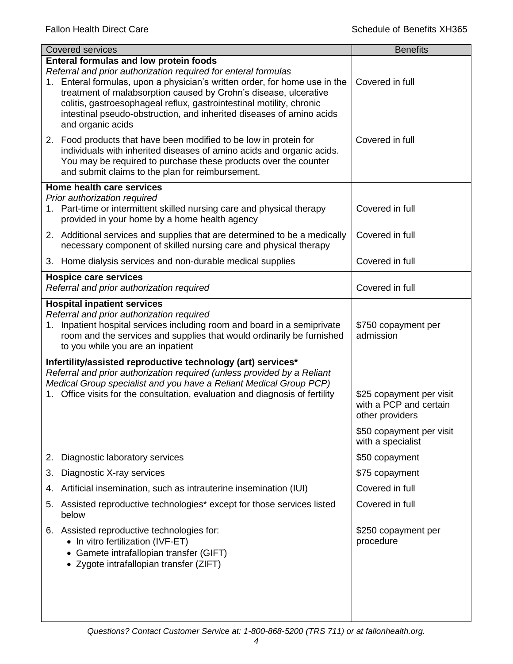| <b>Covered services</b>                                                                                                                                                                                                                                                                                                                                                                                                                | <b>Benefits</b>                                                       |
|----------------------------------------------------------------------------------------------------------------------------------------------------------------------------------------------------------------------------------------------------------------------------------------------------------------------------------------------------------------------------------------------------------------------------------------|-----------------------------------------------------------------------|
| <b>Enteral formulas and low protein foods</b><br>Referral and prior authorization required for enteral formulas<br>1. Enteral formulas, upon a physician's written order, for home use in the<br>treatment of malabsorption caused by Crohn's disease, ulcerative<br>colitis, gastroesophageal reflux, gastrointestinal motility, chronic<br>intestinal pseudo-obstruction, and inherited diseases of amino acids<br>and organic acids | Covered in full                                                       |
| 2. Food products that have been modified to be low in protein for<br>individuals with inherited diseases of amino acids and organic acids.<br>You may be required to purchase these products over the counter<br>and submit claims to the plan for reimbursement.                                                                                                                                                                      | Covered in full                                                       |
| Home health care services                                                                                                                                                                                                                                                                                                                                                                                                              |                                                                       |
| Prior authorization required<br>1. Part-time or intermittent skilled nursing care and physical therapy<br>provided in your home by a home health agency                                                                                                                                                                                                                                                                                | Covered in full                                                       |
| 2. Additional services and supplies that are determined to be a medically<br>necessary component of skilled nursing care and physical therapy                                                                                                                                                                                                                                                                                          | Covered in full                                                       |
| 3. Home dialysis services and non-durable medical supplies                                                                                                                                                                                                                                                                                                                                                                             | Covered in full                                                       |
| <b>Hospice care services</b><br>Referral and prior authorization required                                                                                                                                                                                                                                                                                                                                                              | Covered in full                                                       |
| <b>Hospital inpatient services</b>                                                                                                                                                                                                                                                                                                                                                                                                     |                                                                       |
| Referral and prior authorization required<br>1. Inpatient hospital services including room and board in a semiprivate<br>room and the services and supplies that would ordinarily be furnished<br>to you while you are an inpatient                                                                                                                                                                                                    | \$750 copayment per<br>admission                                      |
| Infertility/assisted reproductive technology (art) services*<br>Referral and prior authorization required (unless provided by a Reliant<br>Medical Group specialist and you have a Reliant Medical Group PCP)<br>Office visits for the consultation, evaluation and diagnosis of fertility                                                                                                                                             | \$25 copayment per visit<br>with a PCP and certain<br>other providers |
|                                                                                                                                                                                                                                                                                                                                                                                                                                        | \$50 copayment per visit<br>with a specialist                         |
| Diagnostic laboratory services<br>2.                                                                                                                                                                                                                                                                                                                                                                                                   | \$50 copayment                                                        |
| Diagnostic X-ray services<br>3.                                                                                                                                                                                                                                                                                                                                                                                                        | \$75 copayment                                                        |
| Artificial insemination, such as intrauterine insemination (IUI)<br>4.                                                                                                                                                                                                                                                                                                                                                                 | Covered in full                                                       |
| Assisted reproductive technologies* except for those services listed<br>5.<br>below                                                                                                                                                                                                                                                                                                                                                    | Covered in full                                                       |
| 6. Assisted reproductive technologies for:<br>• In vitro fertilization (IVF-ET)<br>Gamete intrafallopian transfer (GIFT)<br>• Zygote intrafallopian transfer (ZIFT)                                                                                                                                                                                                                                                                    | \$250 copayment per<br>procedure                                      |
|                                                                                                                                                                                                                                                                                                                                                                                                                                        |                                                                       |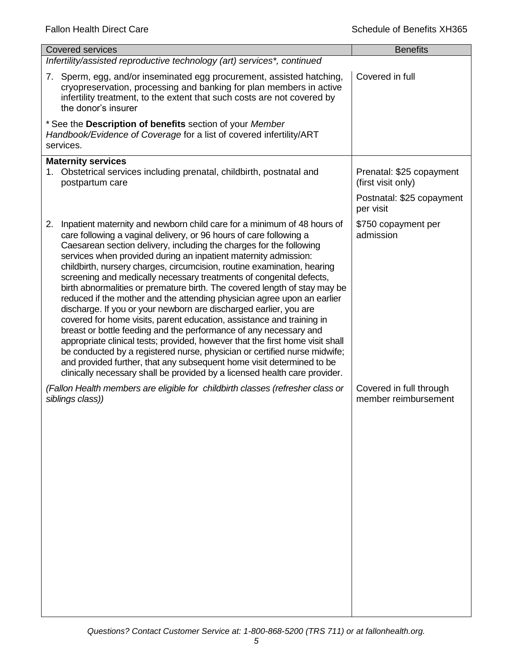| <b>Covered services</b>                                                                                                                                                                                                                                                                                                                                                                                                                                                                                                                                                                                                                                                                                                                                                                                                                                                                                                                                                                                                                                                                                                                         | <b>Benefits</b>                                 |
|-------------------------------------------------------------------------------------------------------------------------------------------------------------------------------------------------------------------------------------------------------------------------------------------------------------------------------------------------------------------------------------------------------------------------------------------------------------------------------------------------------------------------------------------------------------------------------------------------------------------------------------------------------------------------------------------------------------------------------------------------------------------------------------------------------------------------------------------------------------------------------------------------------------------------------------------------------------------------------------------------------------------------------------------------------------------------------------------------------------------------------------------------|-------------------------------------------------|
| Infertility/assisted reproductive technology (art) services*, continued                                                                                                                                                                                                                                                                                                                                                                                                                                                                                                                                                                                                                                                                                                                                                                                                                                                                                                                                                                                                                                                                         |                                                 |
| 7. Sperm, egg, and/or inseminated egg procurement, assisted hatching,<br>cryopreservation, processing and banking for plan members in active<br>infertility treatment, to the extent that such costs are not covered by<br>the donor's insurer                                                                                                                                                                                                                                                                                                                                                                                                                                                                                                                                                                                                                                                                                                                                                                                                                                                                                                  | Covered in full                                 |
| * See the Description of benefits section of your Member<br>Handbook/Evidence of Coverage for a list of covered infertility/ART<br>services.                                                                                                                                                                                                                                                                                                                                                                                                                                                                                                                                                                                                                                                                                                                                                                                                                                                                                                                                                                                                    |                                                 |
| <b>Maternity services</b><br>1. Obstetrical services including prenatal, childbirth, postnatal and<br>postpartum care                                                                                                                                                                                                                                                                                                                                                                                                                                                                                                                                                                                                                                                                                                                                                                                                                                                                                                                                                                                                                           | Prenatal: \$25 copayment<br>(first visit only)  |
|                                                                                                                                                                                                                                                                                                                                                                                                                                                                                                                                                                                                                                                                                                                                                                                                                                                                                                                                                                                                                                                                                                                                                 | Postnatal: \$25 copayment<br>per visit          |
| Inpatient maternity and newborn child care for a minimum of 48 hours of<br>2.<br>care following a vaginal delivery, or 96 hours of care following a<br>Caesarean section delivery, including the charges for the following<br>services when provided during an inpatient maternity admission:<br>childbirth, nursery charges, circumcision, routine examination, hearing<br>screening and medically necessary treatments of congenital defects,<br>birth abnormalities or premature birth. The covered length of stay may be<br>reduced if the mother and the attending physician agree upon an earlier<br>discharge. If you or your newborn are discharged earlier, you are<br>covered for home visits, parent education, assistance and training in<br>breast or bottle feeding and the performance of any necessary and<br>appropriate clinical tests; provided, however that the first home visit shall<br>be conducted by a registered nurse, physician or certified nurse midwife;<br>and provided further, that any subsequent home visit determined to be<br>clinically necessary shall be provided by a licensed health care provider. | \$750 copayment per<br>admission                |
| (Fallon Health members are eligible for childbirth classes (refresher class or<br>siblings class))                                                                                                                                                                                                                                                                                                                                                                                                                                                                                                                                                                                                                                                                                                                                                                                                                                                                                                                                                                                                                                              | Covered in full through<br>member reimbursement |
|                                                                                                                                                                                                                                                                                                                                                                                                                                                                                                                                                                                                                                                                                                                                                                                                                                                                                                                                                                                                                                                                                                                                                 |                                                 |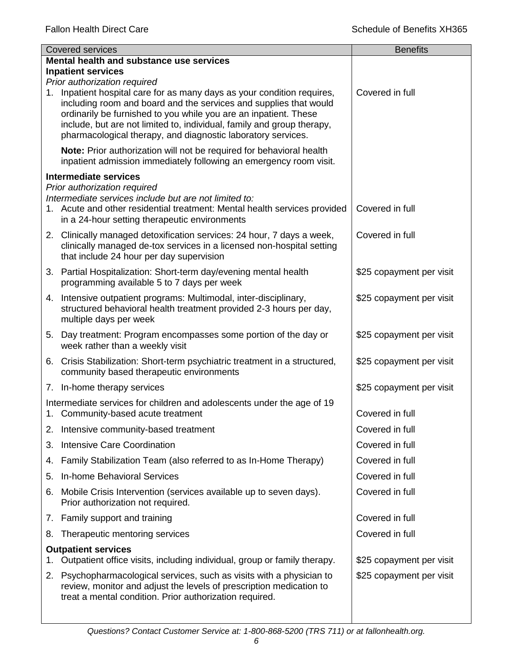| <b>Covered services</b> |                                                                                                                                                                                                                                                                                                                                                         | <b>Benefits</b>          |
|-------------------------|---------------------------------------------------------------------------------------------------------------------------------------------------------------------------------------------------------------------------------------------------------------------------------------------------------------------------------------------------------|--------------------------|
|                         | Mental health and substance use services                                                                                                                                                                                                                                                                                                                |                          |
|                         | <b>Inpatient services</b><br>Prior authorization required                                                                                                                                                                                                                                                                                               |                          |
| 1.                      | Inpatient hospital care for as many days as your condition requires,<br>including room and board and the services and supplies that would<br>ordinarily be furnished to you while you are an inpatient. These<br>include, but are not limited to, individual, family and group therapy,<br>pharmacological therapy, and diagnostic laboratory services. | Covered in full          |
|                         | Note: Prior authorization will not be required for behavioral health<br>inpatient admission immediately following an emergency room visit.                                                                                                                                                                                                              |                          |
|                         | <b>Intermediate services</b>                                                                                                                                                                                                                                                                                                                            |                          |
|                         | Prior authorization required<br>Intermediate services include but are not limited to:<br>1. Acute and other residential treatment: Mental health services provided<br>in a 24-hour setting therapeutic environments                                                                                                                                     | Covered in full          |
|                         | 2. Clinically managed detoxification services: 24 hour, 7 days a week,<br>clinically managed de-tox services in a licensed non-hospital setting<br>that include 24 hour per day supervision                                                                                                                                                             | Covered in full          |
|                         | 3. Partial Hospitalization: Short-term day/evening mental health<br>programming available 5 to 7 days per week                                                                                                                                                                                                                                          | \$25 copayment per visit |
|                         | 4. Intensive outpatient programs: Multimodal, inter-disciplinary,<br>structured behavioral health treatment provided 2-3 hours per day,<br>multiple days per week                                                                                                                                                                                       | \$25 copayment per visit |
|                         | 5. Day treatment: Program encompasses some portion of the day or<br>week rather than a weekly visit                                                                                                                                                                                                                                                     | \$25 copayment per visit |
|                         | 6. Crisis Stabilization: Short-term psychiatric treatment in a structured,<br>community based therapeutic environments                                                                                                                                                                                                                                  | \$25 copayment per visit |
|                         | 7. In-home therapy services                                                                                                                                                                                                                                                                                                                             | \$25 copayment per visit |
|                         | Intermediate services for children and adolescents under the age of 19<br>1. Community-based acute treatment                                                                                                                                                                                                                                            | Covered in full          |
|                         | 2. Intensive community-based treatment                                                                                                                                                                                                                                                                                                                  | Covered in full          |
| 3.                      | <b>Intensive Care Coordination</b>                                                                                                                                                                                                                                                                                                                      | Covered in full          |
| 4.                      | Family Stabilization Team (also referred to as In-Home Therapy)                                                                                                                                                                                                                                                                                         | Covered in full          |
| 5.                      | In-home Behavioral Services                                                                                                                                                                                                                                                                                                                             | Covered in full          |
| 6.                      | Mobile Crisis Intervention (services available up to seven days).<br>Prior authorization not required.                                                                                                                                                                                                                                                  | Covered in full          |
|                         | 7. Family support and training                                                                                                                                                                                                                                                                                                                          | Covered in full          |
| 8.                      | Therapeutic mentoring services                                                                                                                                                                                                                                                                                                                          | Covered in full          |
|                         | <b>Outpatient services</b>                                                                                                                                                                                                                                                                                                                              |                          |
| 1.                      | Outpatient office visits, including individual, group or family therapy.                                                                                                                                                                                                                                                                                | \$25 copayment per visit |
| 2.                      | Psychopharmacological services, such as visits with a physician to<br>review, monitor and adjust the levels of prescription medication to<br>treat a mental condition. Prior authorization required.                                                                                                                                                    | \$25 copayment per visit |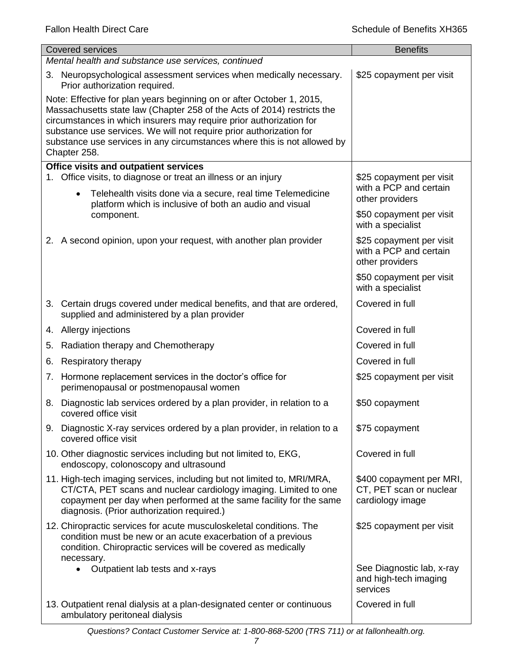| <b>Covered services</b>                                                                                                                                                                                                                                                                                                                                                                    | <b>Benefits</b>                                                         |
|--------------------------------------------------------------------------------------------------------------------------------------------------------------------------------------------------------------------------------------------------------------------------------------------------------------------------------------------------------------------------------------------|-------------------------------------------------------------------------|
| Mental health and substance use services, continued                                                                                                                                                                                                                                                                                                                                        |                                                                         |
| 3. Neuropsychological assessment services when medically necessary.<br>Prior authorization required.                                                                                                                                                                                                                                                                                       | \$25 copayment per visit                                                |
| Note: Effective for plan years beginning on or after October 1, 2015,<br>Massachusetts state law (Chapter 258 of the Acts of 2014) restricts the<br>circumstances in which insurers may require prior authorization for<br>substance use services. We will not require prior authorization for<br>substance use services in any circumstances where this is not allowed by<br>Chapter 258. |                                                                         |
| <b>Office visits and outpatient services</b>                                                                                                                                                                                                                                                                                                                                               |                                                                         |
| 1. Office visits, to diagnose or treat an illness or an injury<br>Telehealth visits done via a secure, real time Telemedicine<br>$\bullet$                                                                                                                                                                                                                                                 | \$25 copayment per visit<br>with a PCP and certain<br>other providers   |
| platform which is inclusive of both an audio and visual<br>component.                                                                                                                                                                                                                                                                                                                      | \$50 copayment per visit<br>with a specialist                           |
| 2. A second opinion, upon your request, with another plan provider                                                                                                                                                                                                                                                                                                                         | \$25 copayment per visit<br>with a PCP and certain<br>other providers   |
|                                                                                                                                                                                                                                                                                                                                                                                            | \$50 copayment per visit<br>with a specialist                           |
| 3. Certain drugs covered under medical benefits, and that are ordered,<br>supplied and administered by a plan provider                                                                                                                                                                                                                                                                     | Covered in full                                                         |
| 4. Allergy injections                                                                                                                                                                                                                                                                                                                                                                      | Covered in full                                                         |
| Radiation therapy and Chemotherapy<br>5.                                                                                                                                                                                                                                                                                                                                                   | Covered in full                                                         |
| Respiratory therapy<br>6.                                                                                                                                                                                                                                                                                                                                                                  | Covered in full                                                         |
| Hormone replacement services in the doctor's office for<br>7.<br>perimenopausal or postmenopausal women                                                                                                                                                                                                                                                                                    | \$25 copayment per visit                                                |
| Diagnostic lab services ordered by a plan provider, in relation to a<br>8.<br>covered office visit                                                                                                                                                                                                                                                                                         | \$50 copayment                                                          |
| 9. Diagnostic X-ray services ordered by a plan provider, in relation to a<br>covered office visit                                                                                                                                                                                                                                                                                          | \$75 copayment                                                          |
| 10. Other diagnostic services including but not limited to, EKG,<br>endoscopy, colonoscopy and ultrasound                                                                                                                                                                                                                                                                                  | Covered in full                                                         |
| 11. High-tech imaging services, including but not limited to, MRI/MRA,<br>CT/CTA, PET scans and nuclear cardiology imaging. Limited to one<br>copayment per day when performed at the same facility for the same<br>diagnosis. (Prior authorization required.)                                                                                                                             | \$400 copayment per MRI,<br>CT, PET scan or nuclear<br>cardiology image |
| 12. Chiropractic services for acute musculoskeletal conditions. The<br>condition must be new or an acute exacerbation of a previous<br>condition. Chiropractic services will be covered as medically<br>necessary.                                                                                                                                                                         | \$25 copayment per visit                                                |
| Outpatient lab tests and x-rays                                                                                                                                                                                                                                                                                                                                                            | See Diagnostic lab, x-ray<br>and high-tech imaging<br>services          |
| 13. Outpatient renal dialysis at a plan-designated center or continuous<br>ambulatory peritoneal dialysis                                                                                                                                                                                                                                                                                  | Covered in full                                                         |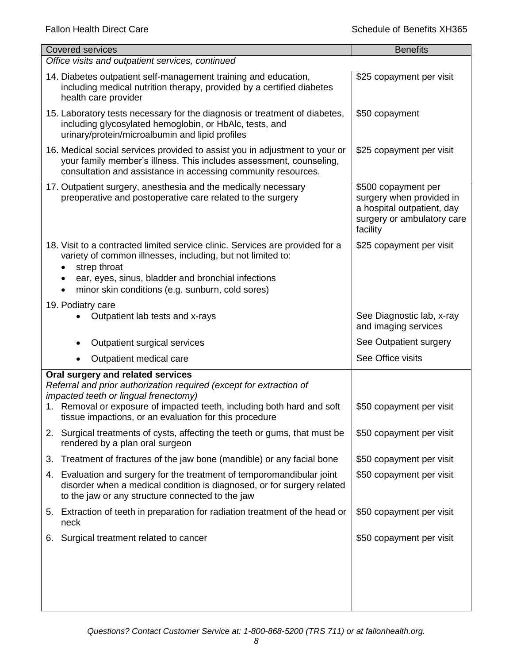| <b>Covered services</b>                                                                                                                                                                                                                                                | <b>Benefits</b>                                                                                                         |
|------------------------------------------------------------------------------------------------------------------------------------------------------------------------------------------------------------------------------------------------------------------------|-------------------------------------------------------------------------------------------------------------------------|
| Office visits and outpatient services, continued                                                                                                                                                                                                                       |                                                                                                                         |
| 14. Diabetes outpatient self-management training and education,<br>including medical nutrition therapy, provided by a certified diabetes<br>health care provider                                                                                                       | \$25 copayment per visit                                                                                                |
| 15. Laboratory tests necessary for the diagnosis or treatment of diabetes,<br>including glycosylated hemoglobin, or HbAlc, tests, and<br>urinary/protein/microalbumin and lipid profiles                                                                               | \$50 copayment                                                                                                          |
| 16. Medical social services provided to assist you in adjustment to your or<br>your family member's illness. This includes assessment, counseling,<br>consultation and assistance in accessing community resources.                                                    | \$25 copayment per visit                                                                                                |
| 17. Outpatient surgery, anesthesia and the medically necessary<br>preoperative and postoperative care related to the surgery                                                                                                                                           | \$500 copayment per<br>surgery when provided in<br>a hospital outpatient, day<br>surgery or ambulatory care<br>facility |
| 18. Visit to a contracted limited service clinic. Services are provided for a<br>variety of common illnesses, including, but not limited to:<br>strep throat<br>ear, eyes, sinus, bladder and bronchial infections<br>minor skin conditions (e.g. sunburn, cold sores) | \$25 copayment per visit                                                                                                |
| 19. Podiatry care                                                                                                                                                                                                                                                      |                                                                                                                         |
| Outpatient lab tests and x-rays                                                                                                                                                                                                                                        | See Diagnostic lab, x-ray<br>and imaging services                                                                       |
| Outpatient surgical services                                                                                                                                                                                                                                           | See Outpatient surgery                                                                                                  |
| Outpatient medical care                                                                                                                                                                                                                                                | See Office visits                                                                                                       |
| Oral surgery and related services<br>Referral and prior authorization required (except for extraction of<br>impacted teeth or lingual frenectomy)                                                                                                                      |                                                                                                                         |
| 1. Removal or exposure of impacted teeth, including both hard and soft<br>tissue impactions, or an evaluation for this procedure                                                                                                                                       | \$50 copayment per visit                                                                                                |
| 2. Surgical treatments of cysts, affecting the teeth or gums, that must be<br>rendered by a plan oral surgeon                                                                                                                                                          | \$50 copayment per visit                                                                                                |
| Treatment of fractures of the jaw bone (mandible) or any facial bone<br>3.                                                                                                                                                                                             | \$50 copayment per visit                                                                                                |
| Evaluation and surgery for the treatment of temporomandibular joint<br>4.<br>disorder when a medical condition is diagnosed, or for surgery related<br>to the jaw or any structure connected to the jaw                                                                | \$50 copayment per visit                                                                                                |
| 5. Extraction of teeth in preparation for radiation treatment of the head or<br>neck                                                                                                                                                                                   | \$50 copayment per visit                                                                                                |
| Surgical treatment related to cancer<br>6.                                                                                                                                                                                                                             | \$50 copayment per visit                                                                                                |
|                                                                                                                                                                                                                                                                        |                                                                                                                         |
|                                                                                                                                                                                                                                                                        |                                                                                                                         |
|                                                                                                                                                                                                                                                                        |                                                                                                                         |
|                                                                                                                                                                                                                                                                        |                                                                                                                         |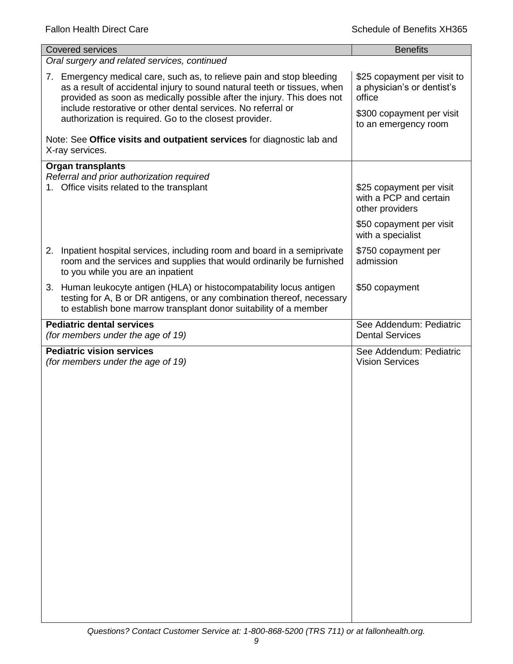| <b>Covered services</b>                                                                                                                                                                                                                                                                                                                               | <b>Benefits</b>                                                                                                          |
|-------------------------------------------------------------------------------------------------------------------------------------------------------------------------------------------------------------------------------------------------------------------------------------------------------------------------------------------------------|--------------------------------------------------------------------------------------------------------------------------|
| Oral surgery and related services, continued                                                                                                                                                                                                                                                                                                          |                                                                                                                          |
| 7. Emergency medical care, such as, to relieve pain and stop bleeding<br>as a result of accidental injury to sound natural teeth or tissues, when<br>provided as soon as medically possible after the injury. This does not<br>include restorative or other dental services. No referral or<br>authorization is required. Go to the closest provider. | \$25 copayment per visit to<br>a physician's or dentist's<br>office<br>\$300 copayment per visit<br>to an emergency room |
| Note: See Office visits and outpatient services for diagnostic lab and<br>X-ray services.                                                                                                                                                                                                                                                             |                                                                                                                          |
| <b>Organ transplants</b><br>Referral and prior authorization required<br>1. Office visits related to the transplant                                                                                                                                                                                                                                   | \$25 copayment per visit<br>with a PCP and certain<br>other providers                                                    |
|                                                                                                                                                                                                                                                                                                                                                       | \$50 copayment per visit<br>with a specialist                                                                            |
| 2. Inpatient hospital services, including room and board in a semiprivate<br>room and the services and supplies that would ordinarily be furnished<br>to you while you are an inpatient                                                                                                                                                               | \$750 copayment per<br>admission                                                                                         |
| 3. Human leukocyte antigen (HLA) or histocompatability locus antigen<br>testing for A, B or DR antigens, or any combination thereof, necessary<br>to establish bone marrow transplant donor suitability of a member                                                                                                                                   | \$50 copayment                                                                                                           |
| <b>Pediatric dental services</b>                                                                                                                                                                                                                                                                                                                      | See Addendum: Pediatric                                                                                                  |
| (for members under the age of 19)                                                                                                                                                                                                                                                                                                                     | <b>Dental Services</b>                                                                                                   |
| <b>Pediatric vision services</b><br>(for members under the age of 19)                                                                                                                                                                                                                                                                                 | See Addendum: Pediatric<br><b>Vision Services</b>                                                                        |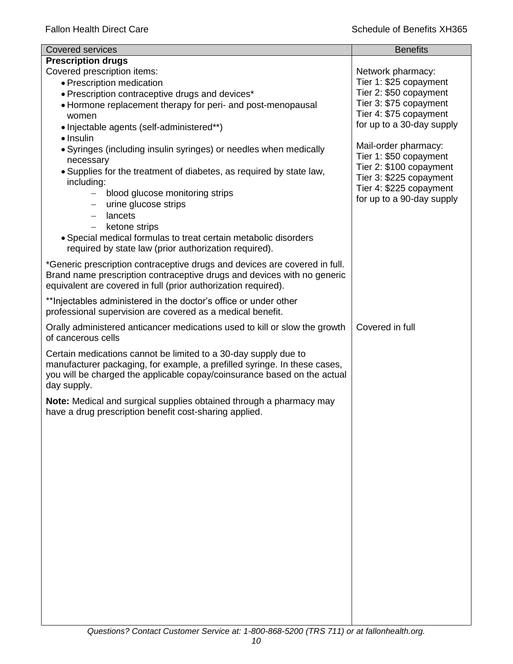| <b>Covered services</b>                                                    | <b>Benefits</b>           |
|----------------------------------------------------------------------------|---------------------------|
| <b>Prescription drugs</b>                                                  |                           |
| Covered prescription items:                                                | Network pharmacy:         |
| • Prescription medication                                                  | Tier 1: \$25 copayment    |
| • Prescription contraceptive drugs and devices*                            | Tier 2: \$50 copayment    |
| • Hormone replacement therapy for peri- and post-menopausal                | Tier 3: \$75 copayment    |
| women                                                                      | Tier 4: \$75 copayment    |
| • Injectable agents (self-administered**)                                  | for up to a 30-day supply |
| $\bullet$ Insulin                                                          | Mail-order pharmacy:      |
| • Syringes (including insulin syringes) or needles when medically          | Tier 1: \$50 copayment    |
| necessary                                                                  | Tier 2: \$100 copayment   |
| • Supplies for the treatment of diabetes, as required by state law,        | Tier 3: \$225 copayment   |
| including:<br>blood glucose monitoring strips<br>$\overline{\phantom{0}}$  | Tier 4: \$225 copayment   |
| urine glucose strips                                                       | for up to a 90-day supply |
| lancets                                                                    |                           |
| ketone strips<br>$\qquad \qquad -$                                         |                           |
| • Special medical formulas to treat certain metabolic disorders            |                           |
| required by state law (prior authorization required).                      |                           |
| *Generic prescription contraceptive drugs and devices are covered in full. |                           |
| Brand name prescription contraceptive drugs and devices with no generic    |                           |
| equivalent are covered in full (prior authorization required).             |                           |
|                                                                            |                           |
| **Injectables administered in the doctor's office or under other           |                           |
| professional supervision are covered as a medical benefit.                 |                           |
| Orally administered anticancer medications used to kill or slow the growth | Covered in full           |
| of cancerous cells                                                         |                           |
| Certain medications cannot be limited to a 30-day supply due to            |                           |
| manufacturer packaging, for example, a prefilled syringe. In these cases,  |                           |
| you will be charged the applicable copay/coinsurance based on the actual   |                           |
| day supply.                                                                |                           |
| Note: Medical and surgical supplies obtained through a pharmacy may        |                           |
| have a drug prescription benefit cost-sharing applied.                     |                           |
|                                                                            |                           |
|                                                                            |                           |
|                                                                            |                           |
|                                                                            |                           |
|                                                                            |                           |
|                                                                            |                           |
|                                                                            |                           |
|                                                                            |                           |
|                                                                            |                           |
|                                                                            |                           |
|                                                                            |                           |
|                                                                            |                           |
|                                                                            |                           |
|                                                                            |                           |
|                                                                            |                           |
|                                                                            |                           |
|                                                                            |                           |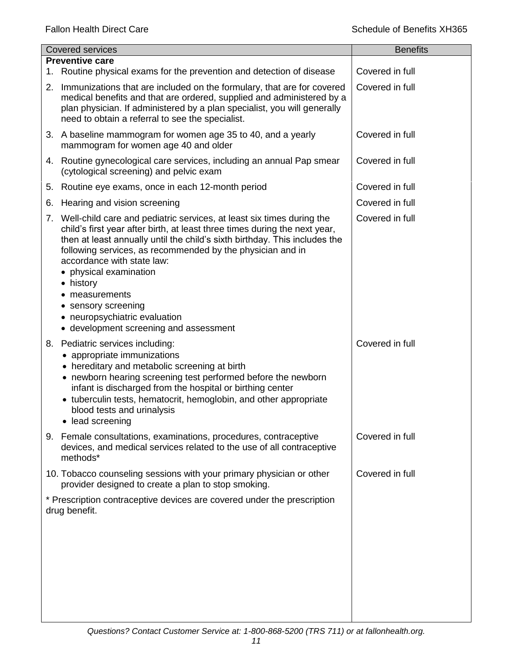|    | Covered services                                                                                                                                                                                                                                                                                                                                                                                                                                                                    | <b>Benefits</b> |
|----|-------------------------------------------------------------------------------------------------------------------------------------------------------------------------------------------------------------------------------------------------------------------------------------------------------------------------------------------------------------------------------------------------------------------------------------------------------------------------------------|-----------------|
|    | <b>Preventive care</b>                                                                                                                                                                                                                                                                                                                                                                                                                                                              |                 |
|    | 1. Routine physical exams for the prevention and detection of disease                                                                                                                                                                                                                                                                                                                                                                                                               | Covered in full |
|    | 2. Immunizations that are included on the formulary, that are for covered<br>medical benefits and that are ordered, supplied and administered by a<br>plan physician. If administered by a plan specialist, you will generally<br>need to obtain a referral to see the specialist.                                                                                                                                                                                                  | Covered in full |
|    | 3. A baseline mammogram for women age 35 to 40, and a yearly<br>mammogram for women age 40 and older                                                                                                                                                                                                                                                                                                                                                                                | Covered in full |
|    | 4. Routine gynecological care services, including an annual Pap smear<br>(cytological screening) and pelvic exam                                                                                                                                                                                                                                                                                                                                                                    | Covered in full |
| 5. | Routine eye exams, once in each 12-month period                                                                                                                                                                                                                                                                                                                                                                                                                                     | Covered in full |
| 6. | Hearing and vision screening                                                                                                                                                                                                                                                                                                                                                                                                                                                        | Covered in full |
|    | 7. Well-child care and pediatric services, at least six times during the<br>child's first year after birth, at least three times during the next year,<br>then at least annually until the child's sixth birthday. This includes the<br>following services, as recommended by the physician and in<br>accordance with state law:<br>physical examination<br>• history<br>measurements<br>sensory screening<br>neuropsychiatric evaluation<br>• development screening and assessment | Covered in full |
| 8. | Pediatric services including:<br>• appropriate immunizations<br>• hereditary and metabolic screening at birth<br>• newborn hearing screening test performed before the newborn<br>infant is discharged from the hospital or birthing center<br>• tuberculin tests, hematocrit, hemoglobin, and other appropriate<br>blood tests and urinalysis<br>• lead screening                                                                                                                  | Covered in full |
|    | 9. Female consultations, examinations, procedures, contraceptive<br>devices, and medical services related to the use of all contraceptive<br>methods*                                                                                                                                                                                                                                                                                                                               | Covered in full |
|    | 10. Tobacco counseling sessions with your primary physician or other<br>provider designed to create a plan to stop smoking.                                                                                                                                                                                                                                                                                                                                                         | Covered in full |
|    | * Prescription contraceptive devices are covered under the prescription<br>drug benefit.                                                                                                                                                                                                                                                                                                                                                                                            |                 |
|    |                                                                                                                                                                                                                                                                                                                                                                                                                                                                                     |                 |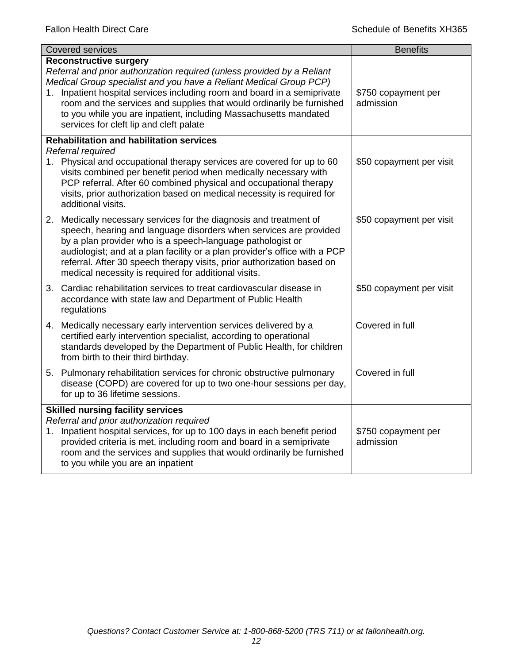| <b>Covered services</b> |                                                                                                                                                                                                                                                                                                                                                                                                                       | <b>Benefits</b>                  |  |  |
|-------------------------|-----------------------------------------------------------------------------------------------------------------------------------------------------------------------------------------------------------------------------------------------------------------------------------------------------------------------------------------------------------------------------------------------------------------------|----------------------------------|--|--|
|                         | <b>Reconstructive surgery</b><br>Referral and prior authorization required (unless provided by a Reliant<br>Medical Group specialist and you have a Reliant Medical Group PCP)                                                                                                                                                                                                                                        |                                  |  |  |
|                         | 1. Inpatient hospital services including room and board in a semiprivate<br>room and the services and supplies that would ordinarily be furnished<br>to you while you are inpatient, including Massachusetts mandated<br>services for cleft lip and cleft palate                                                                                                                                                      | \$750 copayment per<br>admission |  |  |
|                         | <b>Rehabilitation and habilitation services</b>                                                                                                                                                                                                                                                                                                                                                                       |                                  |  |  |
|                         | Referral required<br>1. Physical and occupational therapy services are covered for up to 60<br>visits combined per benefit period when medically necessary with<br>PCP referral. After 60 combined physical and occupational therapy<br>visits, prior authorization based on medical necessity is required for<br>additional visits.                                                                                  | \$50 copayment per visit         |  |  |
|                         | 2. Medically necessary services for the diagnosis and treatment of<br>speech, hearing and language disorders when services are provided<br>by a plan provider who is a speech-language pathologist or<br>audiologist; and at a plan facility or a plan provider's office with a PCP<br>referral. After 30 speech therapy visits, prior authorization based on<br>medical necessity is required for additional visits. | \$50 copayment per visit         |  |  |
|                         | 3. Cardiac rehabilitation services to treat cardiovascular disease in<br>accordance with state law and Department of Public Health<br>regulations                                                                                                                                                                                                                                                                     | \$50 copayment per visit         |  |  |
|                         | 4. Medically necessary early intervention services delivered by a<br>certified early intervention specialist, according to operational<br>standards developed by the Department of Public Health, for children<br>from birth to their third birthday.                                                                                                                                                                 | Covered in full                  |  |  |
|                         | 5. Pulmonary rehabilitation services for chronic obstructive pulmonary<br>disease (COPD) are covered for up to two one-hour sessions per day,<br>for up to 36 lifetime sessions.                                                                                                                                                                                                                                      | Covered in full                  |  |  |
|                         | <b>Skilled nursing facility services</b><br>Referral and prior authorization required<br>1. Inpatient hospital services, for up to 100 days in each benefit period<br>provided criteria is met, including room and board in a semiprivate<br>room and the services and supplies that would ordinarily be furnished<br>to you while you are an inpatient                                                               | \$750 copayment per<br>admission |  |  |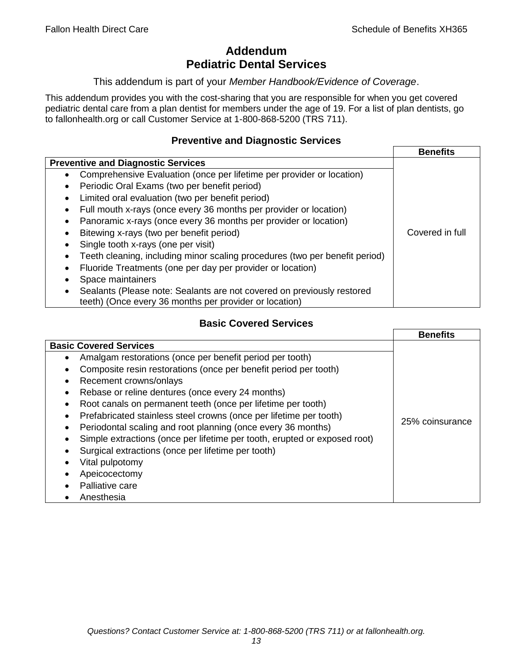# **Addendum Pediatric Dental Services**

#### This addendum is part of your *Member Handbook/Evidence of Coverage*.

This addendum provides you with the cost-sharing that you are responsible for when you get covered pediatric dental care from a plan dentist for members under the age of 19. For a list of plan dentists, go to fallonhealth.org or call Customer Service at 1-800-868-5200 (TRS 711).

## **Preventive and Diagnostic Services**

|                                                                                                                                  | <b>Benefits</b> |
|----------------------------------------------------------------------------------------------------------------------------------|-----------------|
| <b>Preventive and Diagnostic Services</b>                                                                                        |                 |
| Comprehensive Evaluation (once per lifetime per provider or location)<br>$\bullet$                                               |                 |
| Periodic Oral Exams (two per benefit period)<br>٠                                                                                |                 |
| Limited oral evaluation (two per benefit period)                                                                                 |                 |
| Full mouth x-rays (once every 36 months per provider or location)<br>٠                                                           |                 |
| Panoramic x-rays (once every 36 months per provider or location)<br>٠                                                            |                 |
| Bitewing x-rays (two per benefit period)                                                                                         | Covered in full |
| Single tooth x-rays (one per visit)                                                                                              |                 |
| Teeth cleaning, including minor scaling procedures (two per benefit period)                                                      |                 |
| Fluoride Treatments (one per day per provider or location)                                                                       |                 |
| Space maintainers                                                                                                                |                 |
| Sealants (Please note: Sealants are not covered on previously restored<br>teeth) (Once every 36 months per provider or location) |                 |

# **Basic Covered Services**

|                                                                           | <b>Benefits</b> |
|---------------------------------------------------------------------------|-----------------|
| <b>Basic Covered Services</b>                                             |                 |
| Amalgam restorations (once per benefit period per tooth)<br>$\bullet$     |                 |
| Composite resin restorations (once per benefit period per tooth)          |                 |
| Recement crowns/onlays<br>$\bullet$                                       |                 |
| Rebase or reline dentures (once every 24 months)                          |                 |
| Root canals on permanent teeth (once per lifetime per tooth)<br>$\bullet$ |                 |
| Prefabricated stainless steel crowns (once per lifetime per tooth)        |                 |
| Periodontal scaling and root planning (once every 36 months)<br>$\bullet$ | 25% coinsurance |
| Simple extractions (once per lifetime per tooth, erupted or exposed root) |                 |
| Surgical extractions (once per lifetime per tooth)                        |                 |
| Vital pulpotomy                                                           |                 |
| Apeicocectomy                                                             |                 |
| Palliative care                                                           |                 |
| Anesthesia                                                                |                 |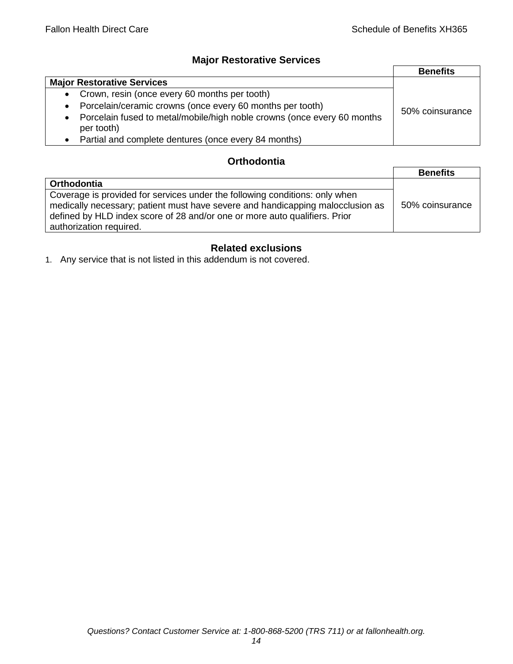# **Major Restorative Services**

|                                                                                                    | <b>Benefits</b> |
|----------------------------------------------------------------------------------------------------|-----------------|
| <b>Major Restorative Services</b>                                                                  |                 |
| Crown, resin (once every 60 months per tooth)<br>$\bullet$                                         |                 |
| Porcelain/ceramic crowns (once every 60 months per tooth)<br>$\bullet$                             | 50% coinsurance |
| Porcelain fused to metal/mobile/high noble crowns (once every 60 months<br>$\bullet$<br>per tooth) |                 |
| Partial and complete dentures (once every 84 months)                                               |                 |

# **Orthodontia**

|                                                                                                                                                                                                                                                                        | <b>Benefits</b> |
|------------------------------------------------------------------------------------------------------------------------------------------------------------------------------------------------------------------------------------------------------------------------|-----------------|
| Orthodontia                                                                                                                                                                                                                                                            |                 |
| Coverage is provided for services under the following conditions: only when<br>medically necessary; patient must have severe and handicapping malocclusion as<br>defined by HLD index score of 28 and/or one or more auto qualifiers. Prior<br>authorization required. | 50% coinsurance |

# **Related exclusions**

1. Any service that is not listed in this addendum is not covered.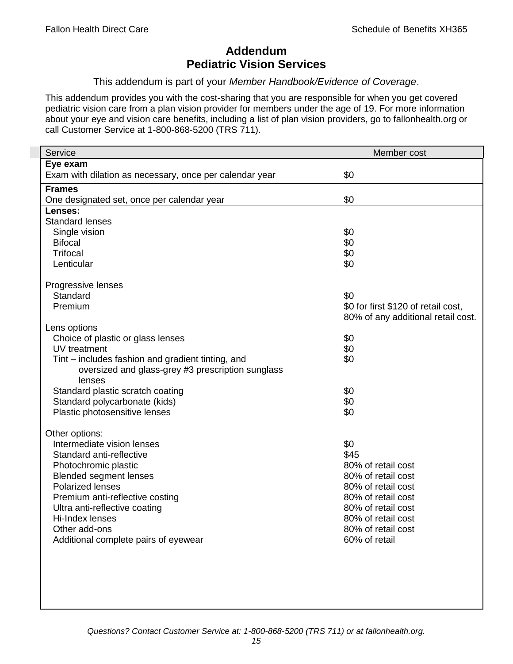# **Addendum Pediatric Vision Services**

This addendum is part of your *Member Handbook/Evidence of Coverage*.

This addendum provides you with the cost-sharing that you are responsible for when you get covered pediatric vision care from a plan vision provider for members under the age of 19. For more information about your eye and vision care benefits, including a list of plan vision providers, go to fallonhealth.org or call Customer Service at 1-800-868-5200 (TRS 711).

| Service                                                 | Member cost                         |
|---------------------------------------------------------|-------------------------------------|
| Eye exam                                                |                                     |
| Exam with dilation as necessary, once per calendar year | \$0                                 |
| <b>Frames</b>                                           |                                     |
| One designated set, once per calendar year              | \$0                                 |
| Lenses:                                                 |                                     |
| <b>Standard lenses</b>                                  |                                     |
| Single vision                                           | \$0                                 |
| <b>Bifocal</b>                                          | \$0                                 |
| <b>Trifocal</b>                                         | \$0                                 |
| Lenticular                                              | \$0                                 |
| Progressive lenses                                      |                                     |
| Standard                                                | \$0                                 |
| Premium                                                 | \$0 for first \$120 of retail cost, |
|                                                         | 80% of any additional retail cost.  |
| Lens options                                            |                                     |
| Choice of plastic or glass lenses                       | \$0                                 |
| UV treatment                                            | \$0                                 |
| Tint – includes fashion and gradient tinting, and       | \$0                                 |
| oversized and glass-grey #3 prescription sunglass       |                                     |
| lenses                                                  |                                     |
| Standard plastic scratch coating                        | \$0                                 |
| Standard polycarbonate (kids)                           | \$0                                 |
| Plastic photosensitive lenses                           | \$0                                 |
| Other options:                                          |                                     |
| Intermediate vision lenses                              | \$0                                 |
| Standard anti-reflective                                | \$45                                |
| Photochromic plastic                                    | 80% of retail cost                  |
| <b>Blended segment lenses</b>                           | 80% of retail cost                  |
| <b>Polarized lenses</b>                                 | 80% of retail cost                  |
| Premium anti-reflective costing                         | 80% of retail cost                  |
| Ultra anti-reflective coating                           | 80% of retail cost                  |
| Hi-Index lenses                                         | 80% of retail cost                  |
| Other add-ons                                           | 80% of retail cost                  |
| Additional complete pairs of eyewear                    | 60% of retail                       |
|                                                         |                                     |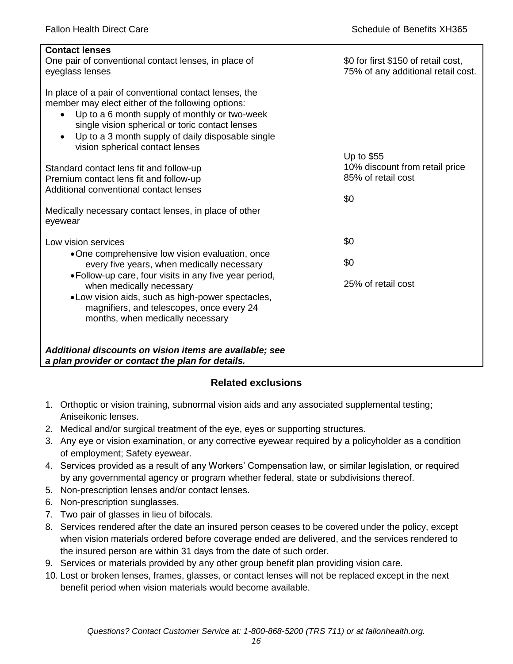| <b>Contact lenses</b><br>One pair of conventional contact lenses, in place of<br>eyeglass lenses                                                                                                                                                                                                                     | \$0 for first \$150 of retail cost,<br>75% of any additional retail cost. |
|----------------------------------------------------------------------------------------------------------------------------------------------------------------------------------------------------------------------------------------------------------------------------------------------------------------------|---------------------------------------------------------------------------|
| In place of a pair of conventional contact lenses, the<br>member may elect either of the following options:<br>Up to a 6 month supply of monthly or two-week<br>$\bullet$<br>single vision spherical or toric contact lenses<br>Up to a 3 month supply of daily disposable single<br>vision spherical contact lenses |                                                                           |
|                                                                                                                                                                                                                                                                                                                      | Up to \$55<br>10% discount from retail price                              |
| Standard contact lens fit and follow-up<br>Premium contact lens fit and follow-up                                                                                                                                                                                                                                    | 85% of retail cost                                                        |
| Additional conventional contact lenses                                                                                                                                                                                                                                                                               |                                                                           |
|                                                                                                                                                                                                                                                                                                                      | \$0                                                                       |
| Medically necessary contact lenses, in place of other<br>eyewear                                                                                                                                                                                                                                                     |                                                                           |
| Low vision services                                                                                                                                                                                                                                                                                                  | \$0                                                                       |
| •One comprehensive low vision evaluation, once<br>every five years, when medically necessary                                                                                                                                                                                                                         | \$0                                                                       |
| • Follow-up care, four visits in any five year period,<br>when medically necessary<br>.Low vision aids, such as high-power spectacles,<br>magnifiers, and telescopes, once every 24                                                                                                                                  | 25% of retail cost                                                        |
| months, when medically necessary                                                                                                                                                                                                                                                                                     |                                                                           |
|                                                                                                                                                                                                                                                                                                                      |                                                                           |
| Additional discounts on vision items are available; see<br>a plan provider or contact the plan for details.                                                                                                                                                                                                          |                                                                           |
|                                                                                                                                                                                                                                                                                                                      |                                                                           |

# **Related exclusions**

- 1. Orthoptic or vision training, subnormal vision aids and any associated supplemental testing; Aniseikonic lenses.
- 2. Medical and/or surgical treatment of the eye, eyes or supporting structures.
- 3. Any eye or vision examination, or any corrective eyewear required by a policyholder as a condition of employment; Safety eyewear.
- 4. Services provided as a result of any Workers' Compensation law, or similar legislation, or required by any governmental agency or program whether federal, state or subdivisions thereof.
- 5. Non-prescription lenses and/or contact lenses.
- 6. Non-prescription sunglasses.
- 7. Two pair of glasses in lieu of bifocals.
- 8. Services rendered after the date an insured person ceases to be covered under the policy, except when vision materials ordered before coverage ended are delivered, and the services rendered to the insured person are within 31 days from the date of such order.
- 9. Services or materials provided by any other group benefit plan providing vision care.
- 10. Lost or broken lenses, frames, glasses, or contact lenses will not be replaced except in the next benefit period when vision materials would become available.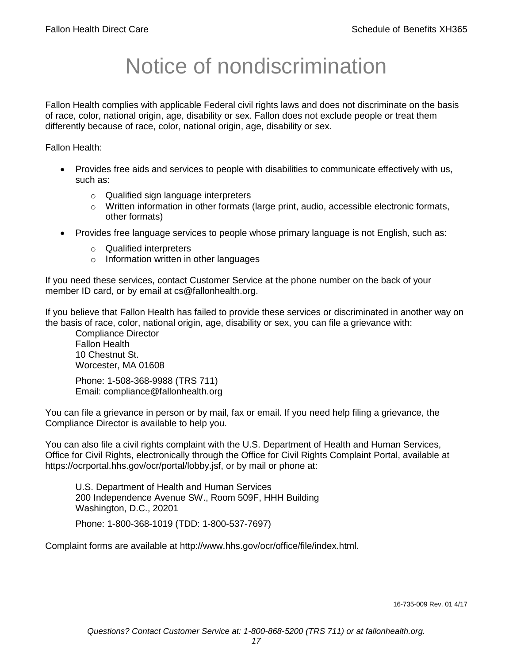# Notice of nondiscrimination

Fallon Health complies with applicable Federal civil rights laws and does not discriminate on the basis of race, color, national origin, age, disability or sex. Fallon does not exclude people or treat them differently because of race, color, national origin, age, disability or sex.

Fallon Health:

- Provides free aids and services to people with disabilities to communicate effectively with us, such as:
	- o Qualified sign language interpreters
	- $\circ$  Written information in other formats (large print, audio, accessible electronic formats, other formats)
- Provides free language services to people whose primary language is not English, such as:
	- o Qualified interpreters
	- o Information written in other languages

If you need these services, contact Customer Service at the phone number on the back of your member ID card, or by email at cs@fallonhealth.org.

If you believe that Fallon Health has failed to provide these services or discriminated in another way on the basis of race, color, national origin, age, disability or sex, you can file a grievance with:

Compliance Director Fallon Health 10 Chestnut St. Worcester, MA 01608

Phone: 1-508-368-9988 (TRS 711) Email: compliance@fallonhealth.org

You can file a grievance in person or by mail, fax or email. If you need help filing a grievance, the Compliance Director is available to help you.

You can also file a civil rights complaint with the U.S. Department of Health and Human Services, Office for Civil Rights, electronically through the Office for Civil Rights Complaint Portal, available at https://ocrportal.hhs.gov/ocr/portal/lobby.jsf, or by mail or phone at:

U.S. Department of Health and Human Services 200 Independence Avenue SW., Room 509F, HHH Building Washington, D.C., 20201

Phone: 1-800-368-1019 (TDD: 1-800-537-7697)

Complaint forms are available at http://www.hhs.gov/ocr/office/file/index.html.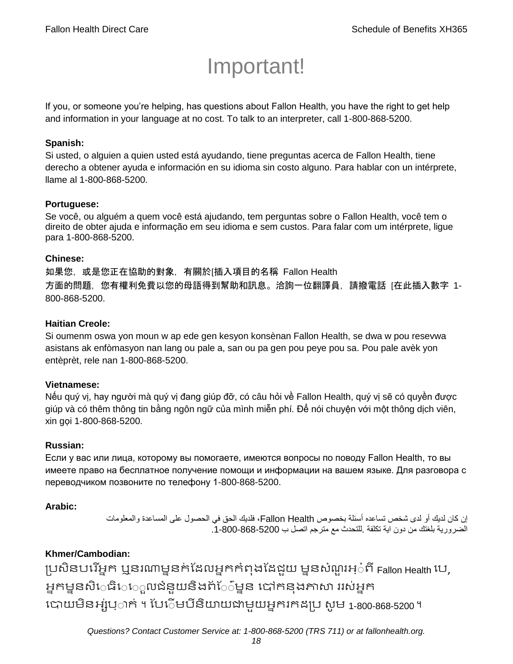# Important!

If you, or someone you're helping, has questions about Fallon Health, you have the right to get help and information in your language at no cost. To talk to an interpreter, call 1-800-868-5200.

#### **Spanish:**

Si usted, o alguien a quien usted está ayudando, tiene preguntas acerca de Fallon Health, tiene derecho a obtener ayuda e información en su idioma sin costo alguno. Para hablar con un intérprete, llame al 1-800-868-5200.

#### **Portuguese:**

Se você, ou alguém a quem você está ajudando, tem perguntas sobre o Fallon Health, você tem o direito de obter ajuda e informação em seu idioma e sem custos. Para falar com um intérprete, ligue para 1-800-868-5200.

#### **Chinese:**

如果您,或是您正在協助的對象,有關於[插入項目的名稱 Fallon Health 方面的問題,您有權利免費以您的母語得到幫助和訊息。洽詢一位翻譯員,請撥電話 [在此插入數字 1- 800-868-5200.

#### **Haitian Creole:**

Si oumenm oswa yon moun w ap ede gen kesyon konsènan Fallon Health, se dwa w pou resevwa asistans ak enfòmasyon nan lang ou pale a, san ou pa gen pou peye pou sa. Pou pale avèk yon entèprèt, rele nan 1-800-868-5200.

#### **Vietnamese:**

Nếu quý vị, hay người mà quý vị đang giúp đỡ, có câu hỏi về Fallon Health, quý vị sẽ có quyền được giúp và có thêm thông tin bằng ngôn ngữ của mình miễn phí. Để nói chuyện với một thông dịch viên, xin gọi 1-800-868-5200.

#### **Russian:**

Если у вас или лица, которому вы помогаете, имеются вопросы по поводу Fallon Health, то вы имеете право на бесплатное получение помощи и информации на вашем языке. Для разговора с переводчиком позвоните по телефону 1-800-868-5200.

#### **Arabic:**

إن كان لديك أو لدى شخص تساعده أسئلة بخصوص Health Fallon، فلديك الحق في الحصول على المساعدة والمعلومات الضرورية بلغتك من دون اية تكلفة .للتحدث مع مترجم اتصل ب .1-800-868-5200

# **Khmer/Cambodian:**

ប្រសិនបរើអ្នក ឬនរណាម្ននក់ដែលអ្នកកំពុងដែជួយ ម្ននសំណួរអ្៎ពី Fallon Health បេ, អ្នកម្ននសិេធិេេ្លលជំនួយនិងព័ែ៌ម្នន បៅកនុងភាសា ររស់អ្នក រោយម្ិនអ្ស់រ្ំ ក់ ។ ដររំម្ រនី ិយាយជាម្ួយអ្នក កែប្រ សូ ម្ 1-800-868-5200 ។

*Questions? Contact Customer Service at: 1-800-868-5200 (TRS 711) or at fallonhealth.org.*